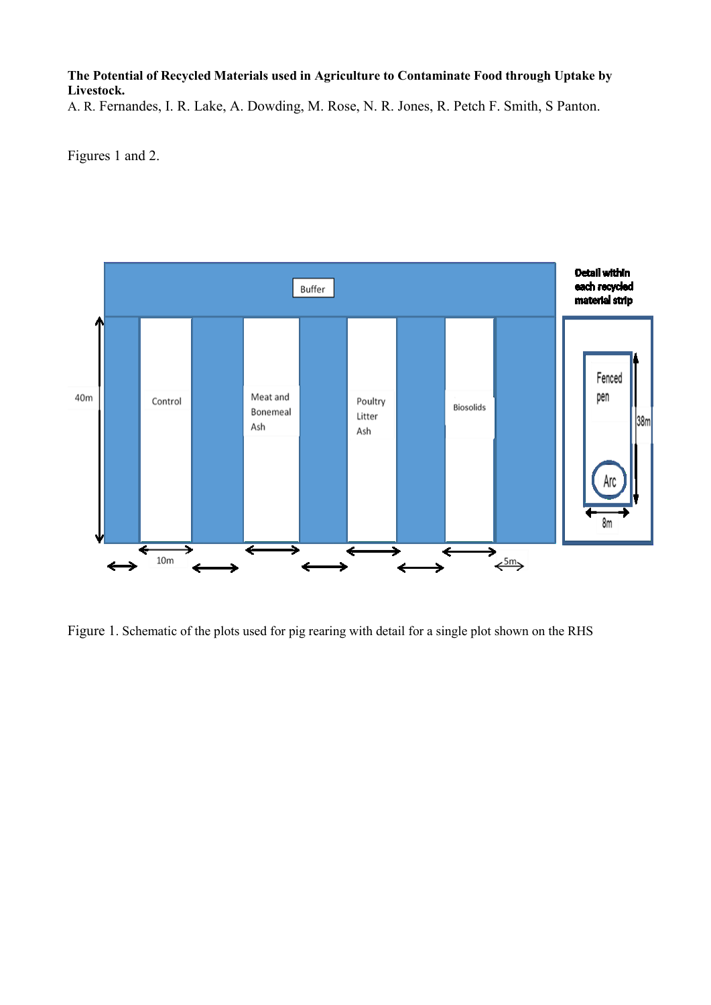## **The Potential of Recycled Materials used in Agriculture to Contaminate Food through Uptake by Livestock.**

A. R. Fernandes, I. R. Lake, A. Dowding, M. Rose, N. R. Jones, R. Petch F. Smith, S Panton.

Figures 1 and 2.



Figure 1. Schematic of the plots used for pig rearing with detail for a single plot shown on the RHS